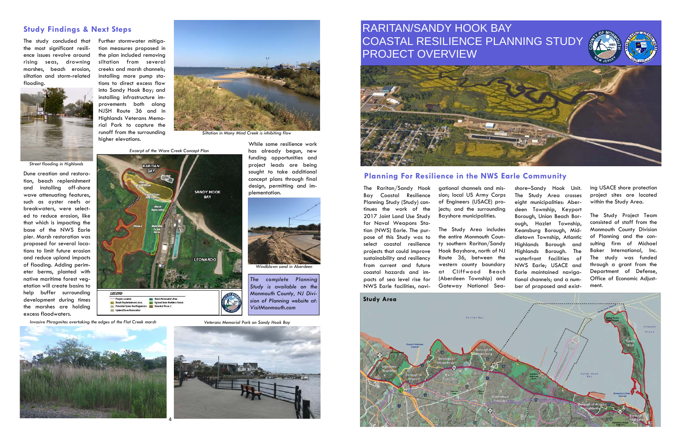The study concluded that the most significant resilience issues revolve around rising seas, drowning marshes, beach erosion, siltation and storm-related flooding.



Dune creation and restoration, beach replenishment and installing off-shore wave attenuating features, such as oyster reefs or breakwaters, were selected to reduce erosion, like that which is impacting the base of the NWS Earle pier. Marsh restoration was proposed for several locations to limit future erosion and reduce upland impacts of flooding. Adding perimeter berms, planted with native maritime forest vegetation will create basins to help buffer surrounding development during times the marshes are holding excess floodwaters.

shore–Sandy Hook Unit. The Study Area crosses eight municipalities: Aberdeen Township, Keyport Borough, Union Beach Borough, Hazlet Township, Keansburg Borough, Middletown Township, Atlantic Highlands Borough and Highlands Borough. The waterfront facilities of NWS Earle; USACE and Earle maintained navigational channels; and a number of proposed and exist-The Raritan/Sandy Hook gational channels and mis-<br>Bay Coastal Resilience sion; local US Army Corps<br>Planning Study (Study) con-<br>of Engineers (USACE) pro-<br>tinues the work of the jects; and the surrounding<br>2017 Joint Land Use

Further stormwater mitigation measures proposed in the plan included removing siltation from several creeks and marsh channels; installing more pump stations to direct excess flow into Sandy Hook Bay; and installing infrastructure improvements both along NJSH Route 36 and in Highlands Veterans Memorial Park to capture the runoff from the surrounding higher elevations.

> The Raritan/Sandy Hook Bay Coastal Resilience Planning Study (Study) con tinues the work of the 2017 Joint Land Use Study for Naval Weapons Sta tion (NWS) Earle. The pur pose of this Study was to select coastal resilience projects that could improve sustainability and resiliency from current and future coastal hazards and im-



*Siltation in Many Mind Creek is inhibiting flow* 

# **Study Findings & Next Steps**

While some resilience work has already begun, new funding opportunities and project leads are being sought to take additional concept plans through final design, permitting and im-

plementation.

*Street flooding in Highlands* 

*Excerpt of the Ware Creek Concept Plan* 



*Invasive Phragmites overtaking the edges of the Flat Creek marsh* 





*Windblown sand in Aberdeen* 

*The complete Planning Study is available on the Monmouth County, NJ Division of Planning website at:* 

*VisitMonmouth.com* 

# **Planning For Resilience in the NWS Earle Community**



ing USACE shore protection project sites are located within the Study Area.

The Study Project Team consisted of staff from the Monmouth County Division of Planning and the consulting firm of Michael Baker International, Inc. The study was funded through a grant from the Department of Defense, Office of Economic Adjustment.